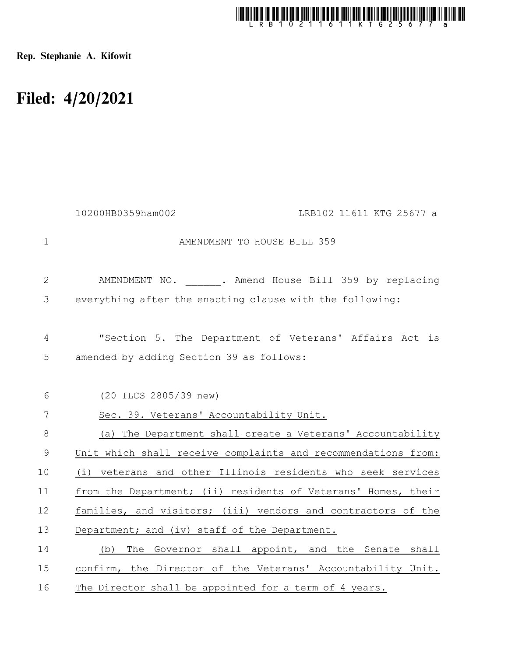

Rep. Stephanie A. Kifowit

## Filed: 4/20/2021

|               | 10200HB0359ham002<br>LRB102 11611 KTG 25677 a                 |
|---------------|---------------------------------------------------------------|
| $\mathbf{1}$  | AMENDMENT TO HOUSE BILL 359                                   |
| $\mathbf{2}$  | AMENDMENT NO. . Amend House Bill 359 by replacing             |
| 3             | everything after the enacting clause with the following:      |
| 4             | "Section 5. The Department of Veterans' Affairs Act is        |
| 5             | amended by adding Section 39 as follows:                      |
| 6             | (20 ILCS 2805/39 new)                                         |
| 7             | Sec. 39. Veterans' Accountability Unit.                       |
| $8\,$         | (a) The Department shall create a Veterans' Accountability    |
| $\mathcal{G}$ | Unit which shall receive complaints and recommendations from: |
| 10            | (i) veterans and other Illinois residents who seek services   |
| 11            | from the Department; (ii) residents of Veterans' Homes, their |
| 12            | families, and visitors; (iii) vendors and contractors of the  |
| 13            | Department; and (iv) staff of the Department.                 |
| 14            | The Governor shall appoint, and the Senate shall<br>(b)       |
| 15            | confirm, the Director of the Veterans' Accountability Unit.   |
| 16            | The Director shall be appointed for a term of 4 years.        |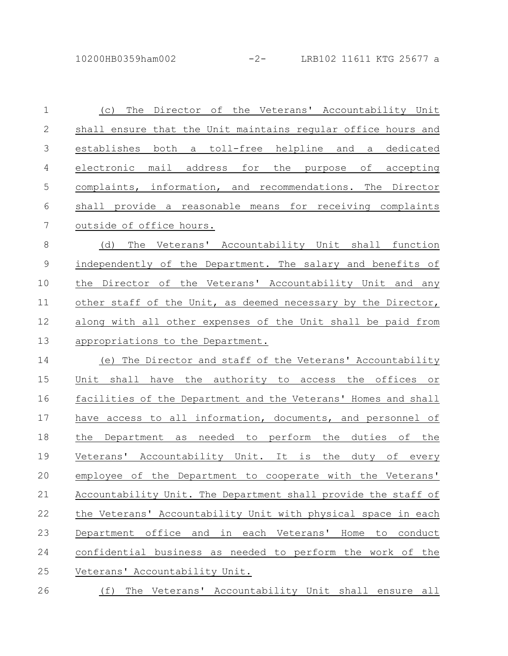| $\mathbf 1$   | The Director of the Veterans' Accountability Unit<br>(C)       |
|---------------|----------------------------------------------------------------|
| $\mathbf 2$   | shall ensure that the Unit maintains regular office hours and  |
| 3             | establishes both a toll-free helpline and a dedicated          |
| 4             | electronic mail address for the purpose of accepting           |
| 5             | complaints, information, and recommendations. The Director     |
| 6             | shall provide a reasonable means for receiving complaints      |
| 7             | outside of office hours.                                       |
| $\,8\,$       | The Veterans' Accountability Unit shall function<br>(d)        |
| $\mathcal{G}$ | independently of the Department. The salary and benefits of    |
| 10            | the Director of the Veterans' Accountability Unit and any      |
| 11            | other staff of the Unit, as deemed necessary by the Director,  |
| 12            | along with all other expenses of the Unit shall be paid from   |
| 13            | appropriations to the Department.                              |
| 14            | (e) The Director and staff of the Veterans' Accountability     |
| 15            | Unit shall have the authority to access the offices or         |
| 16            | facilities of the Department and the Veterans' Homes and shall |
| 17            | have access to all information, documents, and personnel of    |
| 18            | the Department as needed to perform the duties of the          |
| 19            | Veterans' Accountability Unit. It is the duty of every         |
| 20            | employee of the Department to cooperate with the Veterans'     |
| 21            | Accountability Unit. The Department shall provide the staff of |
| 22            | the Veterans' Accountability Unit with physical space in each  |
| 23            | Department office and in each Veterans' Home to conduct        |
| 24            | confidential business as needed to perform the work of the     |
| 25            | Veterans' Accountability Unit.                                 |
| 26            | (f) The Veterans' Accountability Unit shall ensure all         |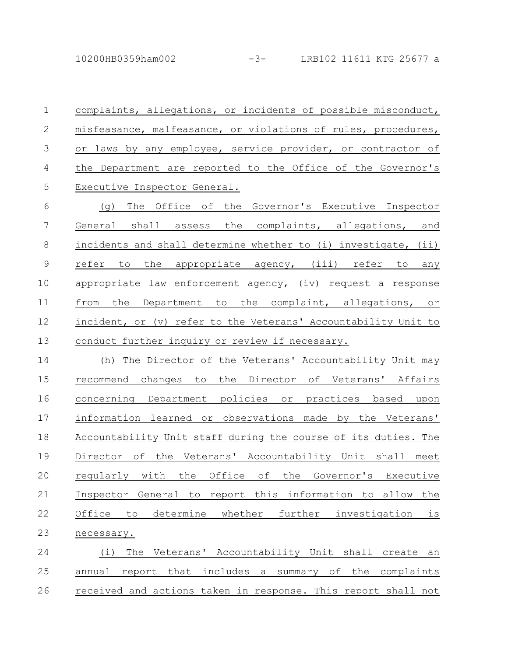10200HB0359ham002 -3- LRB102 11611 KTG 25677 a

complaints, allegations, or incidents of possible misconduct, misfeasance, malfeasance, or violations of rules, procedures, or laws by any employee, service provider, or contractor of the Department are reported to the Office of the Governor's Executive Inspector General. 1 2 3 4 5

(g) The Office of the Governor's Executive Inspector General shall assess the complaints, allegations, and incidents and shall determine whether to (i) investigate, (ii) refer to the appropriate agency, (iii) refer to any appropriate law enforcement agency, (iv) request a response from the Department to the complaint, allegations, or incident, or (v) refer to the Veterans' Accountability Unit to conduct further inquiry or review if necessary. 6 7 8 9 10 11 12 13

(h) The Director of the Veterans' Accountability Unit may recommend changes to the Director of Veterans' Affairs concerning Department policies or practices based upon information learned or observations made by the Veterans' Accountability Unit staff during the course of its duties. The Director of the Veterans' Accountability Unit shall meet regularly with the Office of the Governor's Executive Inspector General to report this information to allow the Office to determine whether further investigation is necessary. 14 15 16 17 18 19 20 21 22 23

(i) The Veterans' Accountability Unit shall create an annual report that includes a summary of the complaints received and actions taken in response. This report shall not 24 25 26